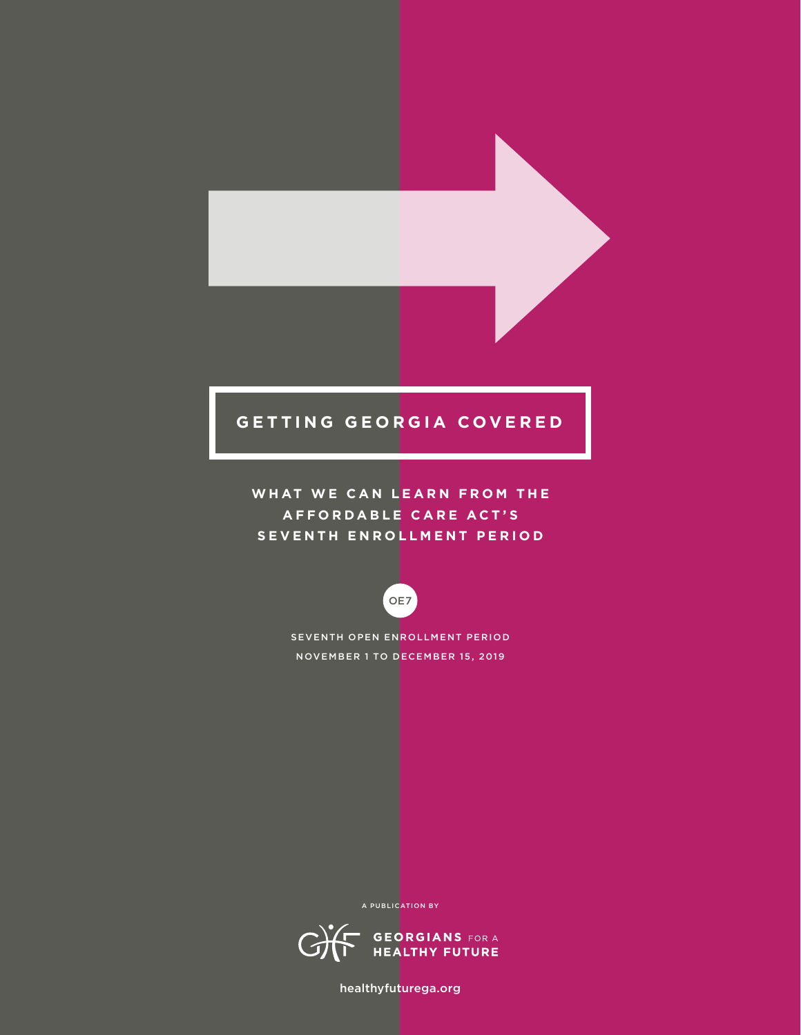## **GETTING GEORGIA COVERED**

WHAT WE CAN LEARN FROM THE **A F F O R D A B L E C A R E A C T ' S SEVENTH ENROLLMENT PERIOD**



SEVENTH OPEN ENROLLMENT PERIOD NOVEMBER 1 TO DECEMBER 15, 2019

A PUBLICATION BY



healthyfuturega.org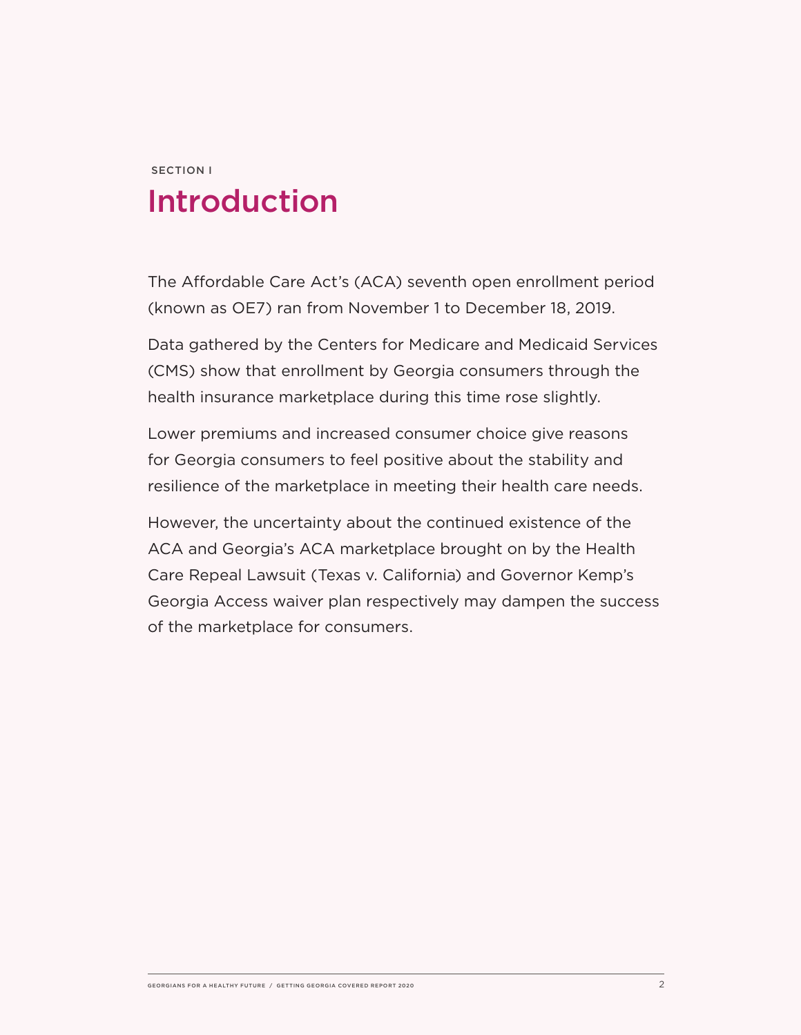# SECTION I Introduction

The Affordable Care Act's (ACA) seventh open enrollment period (known as OE7) ran from November 1 to December 18, 2019.

Data gathered by the Centers for Medicare and Medicaid Services (CMS) show that enrollment by Georgia consumers through the health insurance marketplace during this time rose slightly.

Lower premiums and increased consumer choice give reasons for Georgia consumers to feel positive about the stability and resilience of the marketplace in meeting their health care needs.

However, the uncertainty about the continued existence of the ACA and Georgia's ACA marketplace brought on by the Health Care Repeal Lawsuit (Texas v. California) and Governor Kemp's Georgia Access waiver plan respectively may dampen the success of the marketplace for consumers.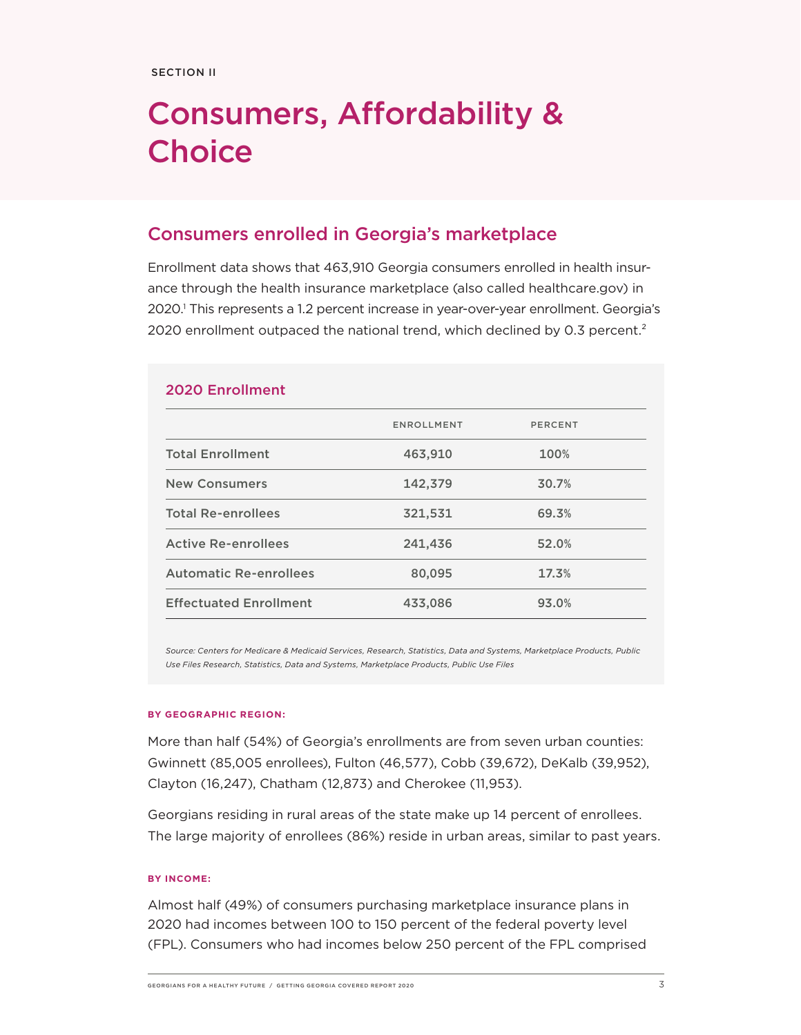# Consumers, Affordability & **Choice**

### Consumers enrolled in Georgia's marketplace

Enrollment data shows that 463,910 Georgia consumers enrolled in health insurance through the health insurance marketplace (also called healthcare.gov) in 2020.1 This represents a 1.2 percent increase in year-over-year enrollment. Georgia's 2020 enrollment outpaced the national trend, which declined by 0.3 percent.<sup>2</sup>

| <b>2020 Enrollment</b>        |                   |         |
|-------------------------------|-------------------|---------|
|                               | <b>ENROLLMENT</b> | PERCENT |
| <b>Total Enrollment</b>       | 463,910           | 100%    |
| <b>New Consumers</b>          | 142,379           | 30.7%   |
| <b>Total Re-enrollees</b>     | 321,531           | 69.3%   |
| <b>Active Re-enrollees</b>    | 241,436           | 52.0%   |
| <b>Automatic Re-enrollees</b> | 80,095            | 17.3%   |
| <b>Effectuated Enrollment</b> | 433,086           | 93.0%   |
|                               |                   |         |

*Source: Centers for Medicare & Medicaid Services, Research, Statistics, Data and Systems, Marketplace Products, Public Use Files Research, Statistics, Data and Systems, Marketplace Products, Public Use Files*

#### **BY GEOGRAPHIC REGION:**

More than half (54%) of Georgia's enrollments are from seven urban counties: Gwinnett (85,005 enrollees), Fulton (46,577), Cobb (39,672), DeKalb (39,952), Clayton (16,247), Chatham (12,873) and Cherokee (11,953).

Georgians residing in rural areas of the state make up 14 percent of enrollees. The large majority of enrollees (86%) reside in urban areas, similar to past years.

#### **BY INCOME:**

Almost half (49%) of consumers purchasing marketplace insurance plans in 2020 had incomes between 100 to 150 percent of the federal poverty level (FPL). Consumers who had incomes below 250 percent of the FPL comprised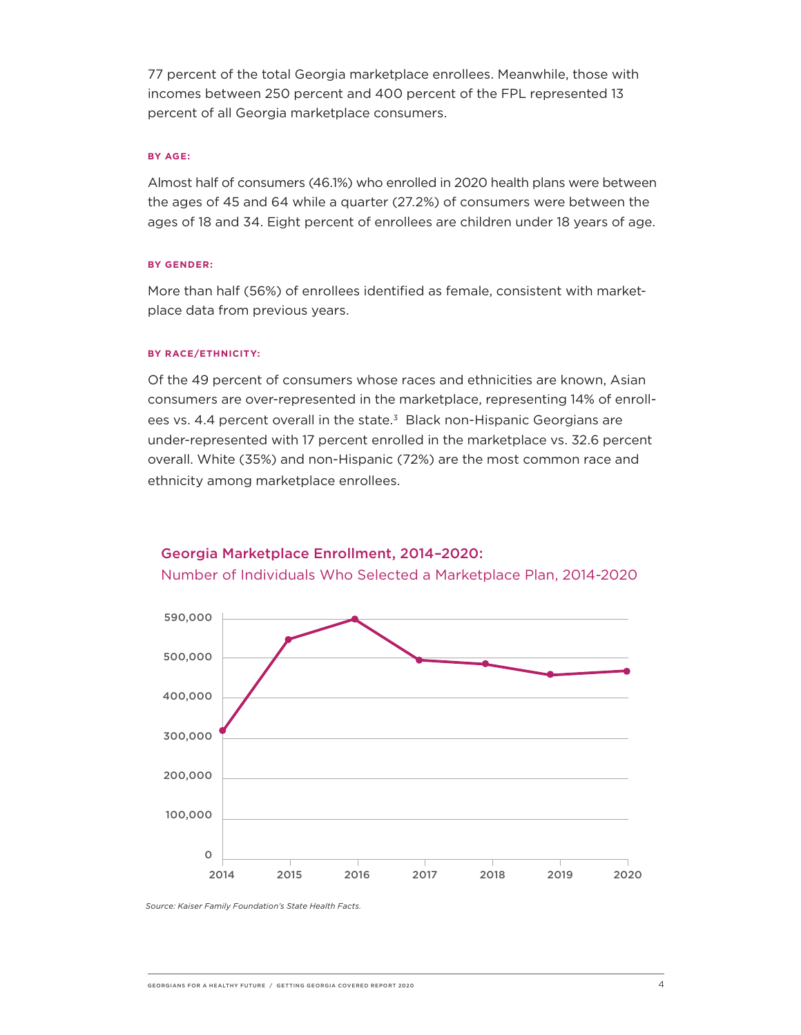77 percent of the total Georgia marketplace enrollees. Meanwhile, those with incomes between 250 percent and 400 percent of the FPL represented 13 percent of all Georgia marketplace consumers.

#### **BY AGE:**

Almost half of consumers (46.1%) who enrolled in 2020 health plans were between the ages of 45 and 64 while a quarter (27.2%) of consumers were between the ages of 18 and 34. Eight percent of enrollees are children under 18 years of age.

#### **BY GENDER:**

More than half (56%) of enrollees identified as female, consistent with marketplace data from previous years.

#### **BY RACE/ETHNICITY:**

Of the 49 percent of consumers whose races and ethnicities are known, Asian consumers are over-represented in the marketplace, representing 14% of enrollees vs. 4.4 percent overall in the state.<sup>3</sup> Black non-Hispanic Georgians are under-represented with 17 percent enrolled in the marketplace vs. 32.6 percent overall. White (35%) and non-Hispanic (72%) are the most common race and ethnicity among marketplace enrollees.



#### Georgia Marketplace Enrollment, 2014–2020:

Number of Individuals Who Selected a Marketplace Plan, 2014-2020

*Source: Kaiser Family Foundation's State Health Facts.*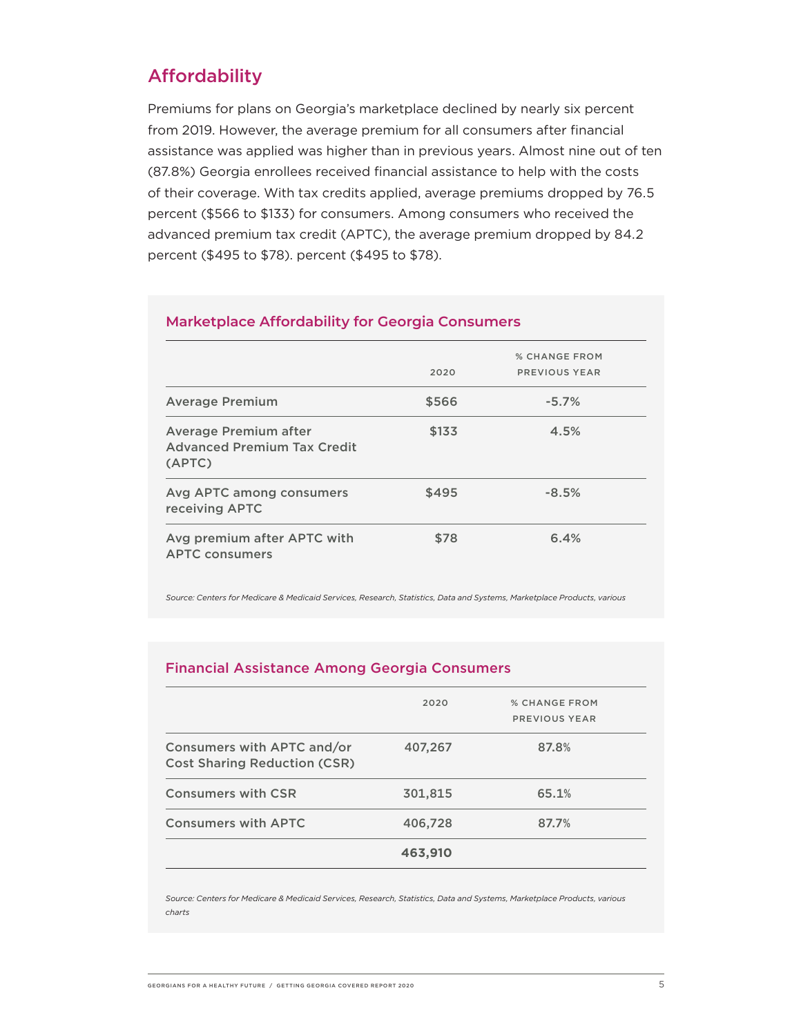### Affordability

Premiums for plans on Georgia's marketplace declined by nearly six percent from 2019. However, the average premium for all consumers after financial assistance was applied was higher than in previous years. Almost nine out of ten (87.8%) Georgia enrollees received financial assistance to help with the costs of their coverage. With tax credits applied, average premiums dropped by 76.5 percent (\$566 to \$133) for consumers. Among consumers who received the advanced premium tax credit (APTC), the average premium dropped by 84.2 percent (\$495 to \$78). percent (\$495 to \$78).

| <b>Marketplace Affordability for Georgia Consumers</b>                       |       |                      |
|------------------------------------------------------------------------------|-------|----------------------|
|                                                                              |       | <b>% CHANGE FROM</b> |
|                                                                              | 2020  | PREVIOUS YEAR        |
| <b>Average Premium</b>                                                       | \$566 | $-5.7%$              |
| <b>Average Premium after</b><br><b>Advanced Premium Tax Credit</b><br>(APTC) | \$133 | 4.5%                 |
| Avg APTC among consumers<br>receiving APTC                                   | \$495 | $-8.5%$              |
| Avg premium after APTC with<br><b>APTC consumers</b>                         | \$78  | 6.4%                 |

*Source: Centers for Medicare & Medicaid Services, Research, Statistics, Data and Systems, Marketplace Products, various* 

#### Financial Assistance Among Georgia Consumers

|                                                                   | 2020    | <b>% CHANGE FROM</b> |
|-------------------------------------------------------------------|---------|----------------------|
|                                                                   |         | PREVIOUS YEAR        |
| Consumers with APTC and/or<br><b>Cost Sharing Reduction (CSR)</b> | 407,267 | 87.8%                |
| <b>Consumers with CSR</b>                                         | 301,815 | 65.1%                |
| <b>Consumers with APTC</b>                                        | 406,728 | 87.7%                |
|                                                                   | 463,910 |                      |
|                                                                   |         |                      |

*Source: Centers for Medicare & Medicaid Services, Research, Statistics, Data and Systems, Marketplace Products, various charts*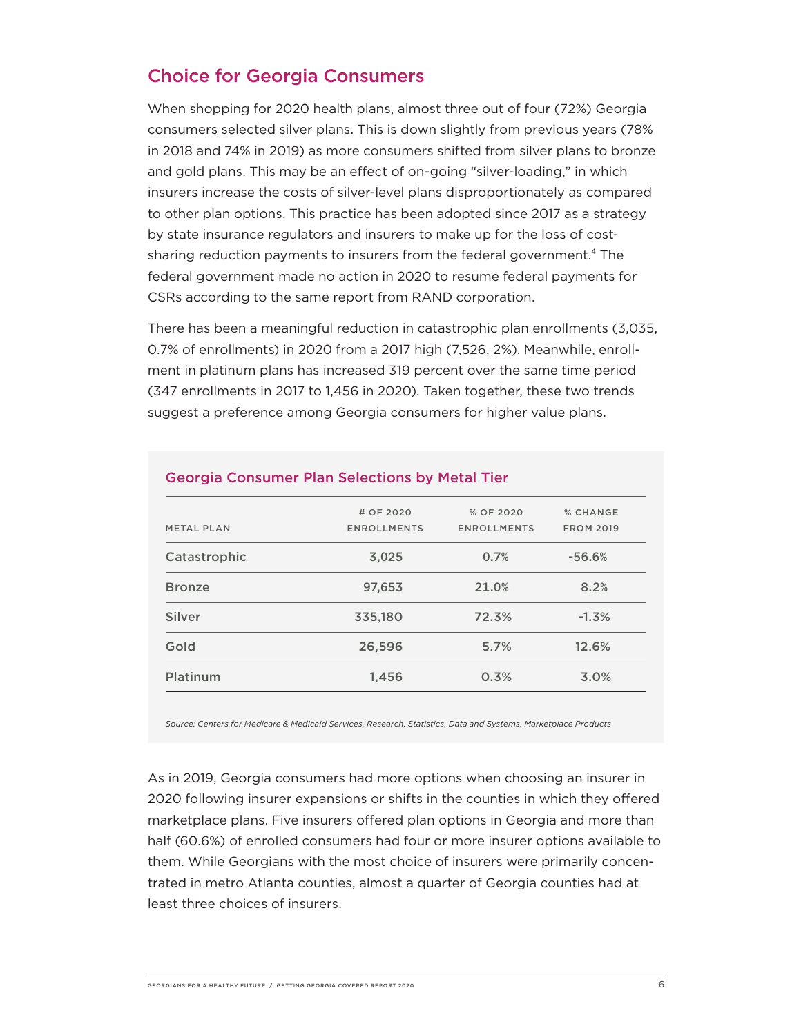## Choice for Georgia Consumers

When shopping for 2020 health plans, almost three out of four (72%) Georgia consumers selected silver plans. This is down slightly from previous years (78% in 2018 and 74% in 2019) as more consumers shifted from silver plans to bronze and gold plans. This may be an effect of on-going "silver-loading," in which insurers increase the costs of silver-level plans disproportionately as compared to other plan options. This practice has been adopted since 2017 as a strategy by state insurance regulators and insurers to make up for the loss of costsharing reduction payments to insurers from the federal government.<sup>4</sup> The federal government made no action in 2020 to resume federal payments for CSRs according to the same report from RAND corporation.

There has been a meaningful reduction in catastrophic plan enrollments (3,035, 0.7% of enrollments) in 2020 from a 2017 high (7,526, 2%). Meanwhile, enrollment in platinum plans has increased 319 percent over the same time period (347 enrollments in 2017 to 1,456 in 2020). Taken together, these two trends suggest a preference among Georgia consumers for higher value plans.

| # OF 2020<br><b>ENROLLMENTS</b> | % OF 2020<br><b>ENROLLMENTS</b> | % CHANGE<br><b>FROM 2019</b> |
|---------------------------------|---------------------------------|------------------------------|
| 3,025                           | 0.7%                            | $-56.6%$                     |
| 97,653                          | 21.0%                           | 8.2%                         |
| 335,180                         | 72.3%                           | $-1.3%$                      |
| 26,596                          | 5.7%                            | 12.6%                        |
| 1,456                           | 0.3%                            | 3.0%                         |
|                                 |                                 |                              |

#### Georgia Consumer Plan Selections by Metal Tier

*Source: Centers for Medicare & Medicaid Services, Research, Statistics, Data and Systems, Marketplace Products*

As in 2019, Georgia consumers had more options when choosing an insurer in 2020 following insurer expansions or shifts in the counties in which they offered marketplace plans. Five insurers offered plan options in Georgia and more than half (60.6%) of enrolled consumers had four or more insurer options available to them. While Georgians with the most choice of insurers were primarily concentrated in metro Atlanta counties, almost a quarter of Georgia counties had at least three choices of insurers.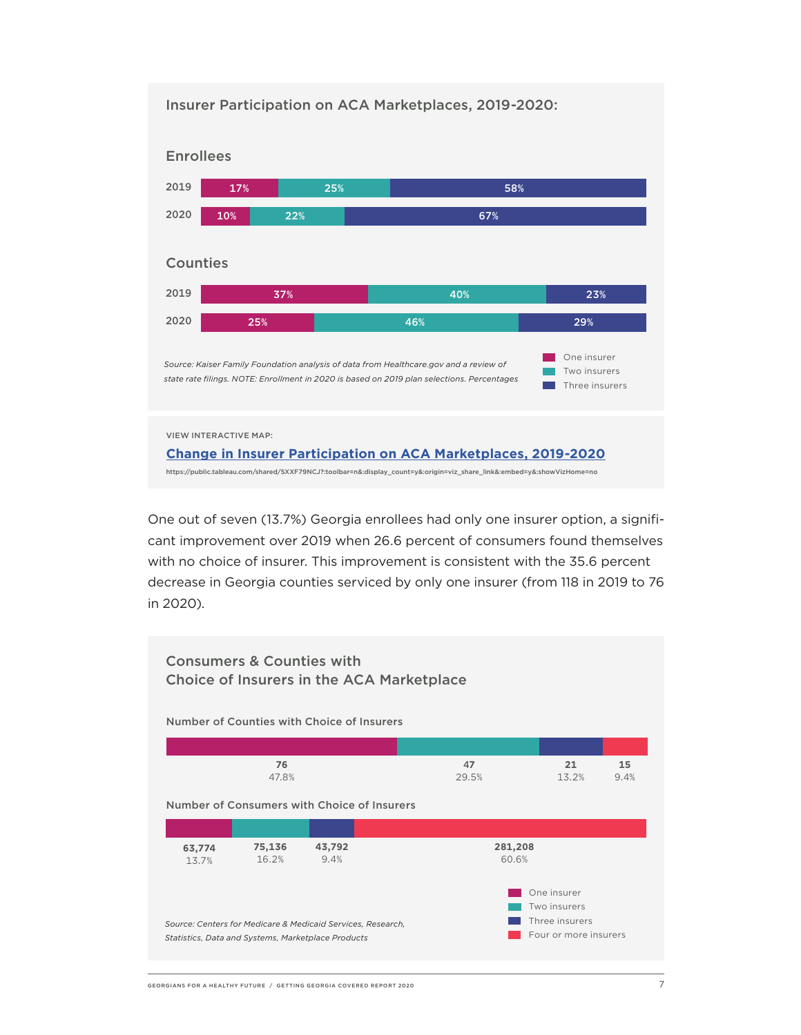

One out of seven (13.7%) Georgia enrollees had only one insurer option, a significant improvement over 2019 when 26.6 percent of consumers found themselves with no choice of insurer. This improvement is consistent with the 35.6 percent decrease in Georgia counties serviced by only one insurer (from 118 in 2019 to 76 in 2020).

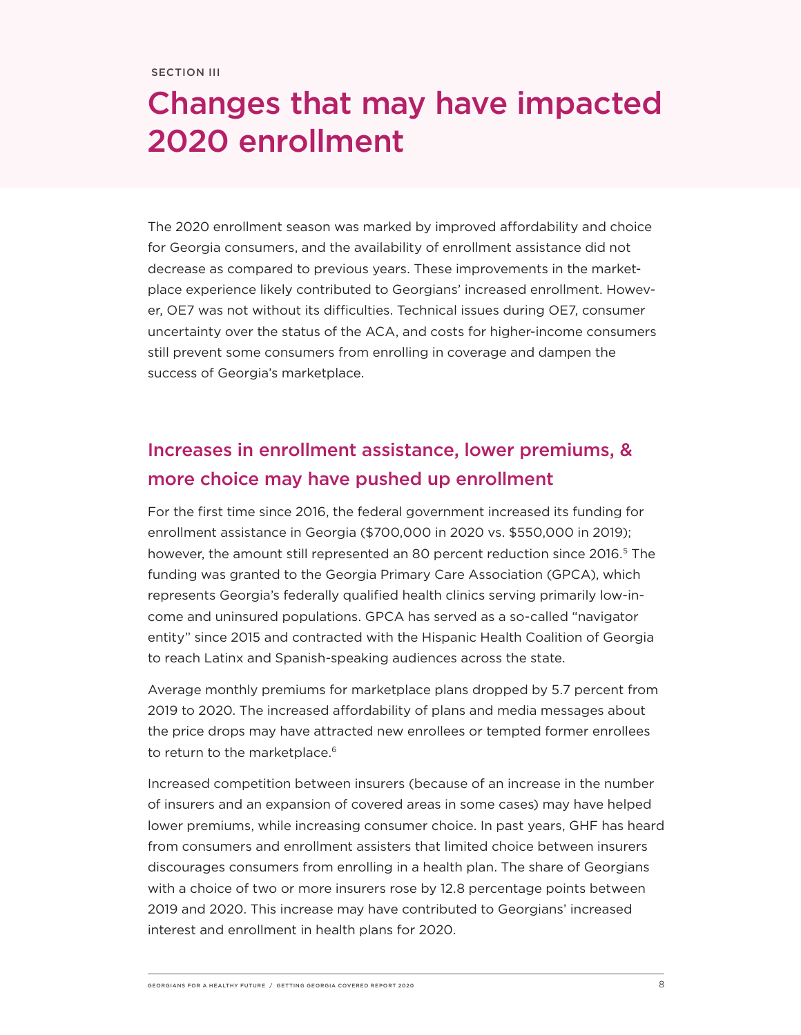# Changes that may have impacted 2020 enrollment

The 2020 enrollment season was marked by improved affordability and choice for Georgia consumers, and the availability of enrollment assistance did not decrease as compared to previous years. These improvements in the marketplace experience likely contributed to Georgians' increased enrollment. However, OE7 was not without its difficulties. Technical issues during OE7, consumer uncertainty over the status of the ACA, and costs for higher-income consumers still prevent some consumers from enrolling in coverage and dampen the success of Georgia's marketplace.

## Increases in enrollment assistance, lower premiums, & more choice may have pushed up enrollment

For the first time since 2016, the federal government increased its funding for enrollment assistance in Georgia (\$700,000 in 2020 vs. \$550,000 in 2019); however, the amount still represented an 80 percent reduction since 2016.<sup>5</sup> The funding was granted to the Georgia Primary Care Association (GPCA), which represents Georgia's federally qualified health clinics serving primarily low-income and uninsured populations. GPCA has served as a so-called "navigator entity" since 2015 and contracted with the Hispanic Health Coalition of Georgia to reach Latinx and Spanish-speaking audiences across the state.

Average monthly premiums for marketplace plans dropped by 5.7 percent from 2019 to 2020. The increased affordability of plans and media messages about the price drops may have attracted new enrollees or tempted former enrollees to return to the marketplace.<sup>6</sup>

Increased competition between insurers (because of an increase in the number of insurers and an expansion of covered areas in some cases) may have helped lower premiums, while increasing consumer choice. In past years, GHF has heard from consumers and enrollment assisters that limited choice between insurers discourages consumers from enrolling in a health plan. The share of Georgians with a choice of two or more insurers rose by 12.8 percentage points between 2019 and 2020. This increase may have contributed to Georgians' increased interest and enrollment in health plans for 2020.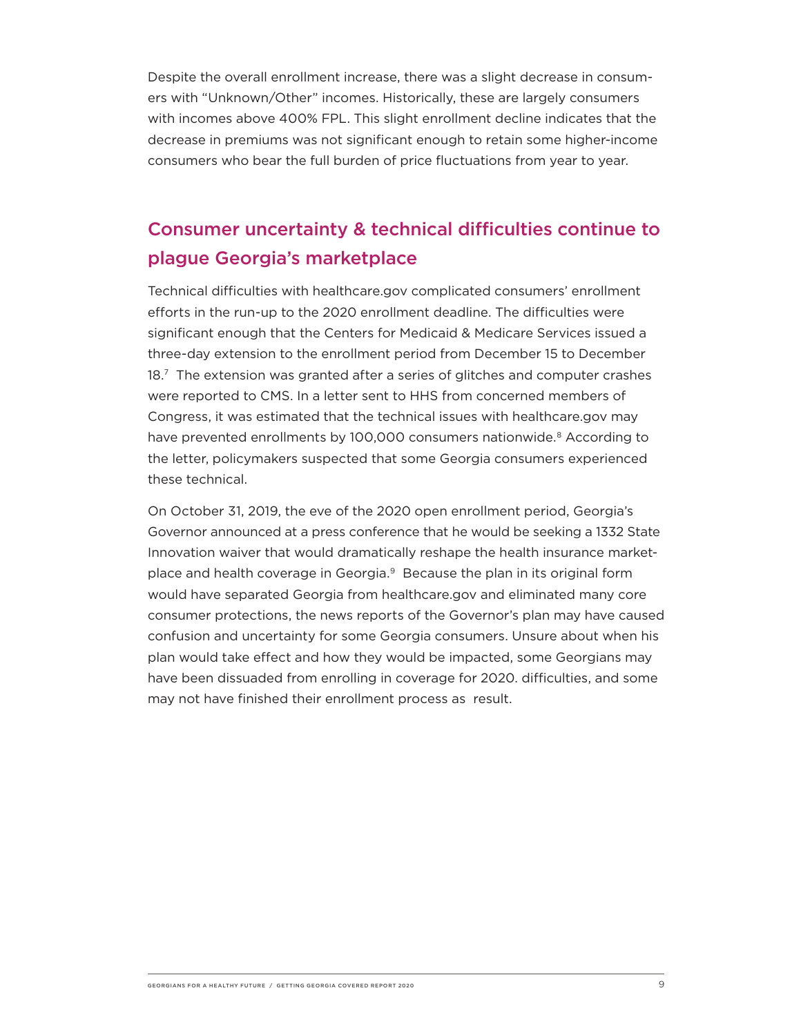Despite the overall enrollment increase, there was a slight decrease in consumers with "Unknown/Other" incomes. Historically, these are largely consumers with incomes above 400% FPL. This slight enrollment decline indicates that the decrease in premiums was not significant enough to retain some higher-income consumers who bear the full burden of price fluctuations from year to year.

## Consumer uncertainty & technical difficulties continue to plague Georgia's marketplace

Technical difficulties with healthcare.gov complicated consumers' enrollment efforts in the run-up to the 2020 enrollment deadline. The difficulties were significant enough that the Centers for Medicaid & Medicare Services issued a three-day extension to the enrollment period from December 15 to December 18.7 The extension was granted after a series of glitches and computer crashes were reported to CMS. In a letter sent to HHS from concerned members of Congress, it was estimated that the technical issues with healthcare.gov may have prevented enrollments by 100,000 consumers nationwide.<sup>8</sup> According to the letter, policymakers suspected that some Georgia consumers experienced these technical.

On October 31, 2019, the eve of the 2020 open enrollment period, Georgia's Governor announced at a press conference that he would be seeking a 1332 State Innovation waiver that would dramatically reshape the health insurance marketplace and health coverage in Georgia.<sup>9</sup> Because the plan in its original form would have separated Georgia from healthcare.gov and eliminated many core consumer protections, the news reports of the Governor's plan may have caused confusion and uncertainty for some Georgia consumers. Unsure about when his plan would take effect and how they would be impacted, some Georgians may have been dissuaded from enrolling in coverage for 2020. difficulties, and some may not have finished their enrollment process as result.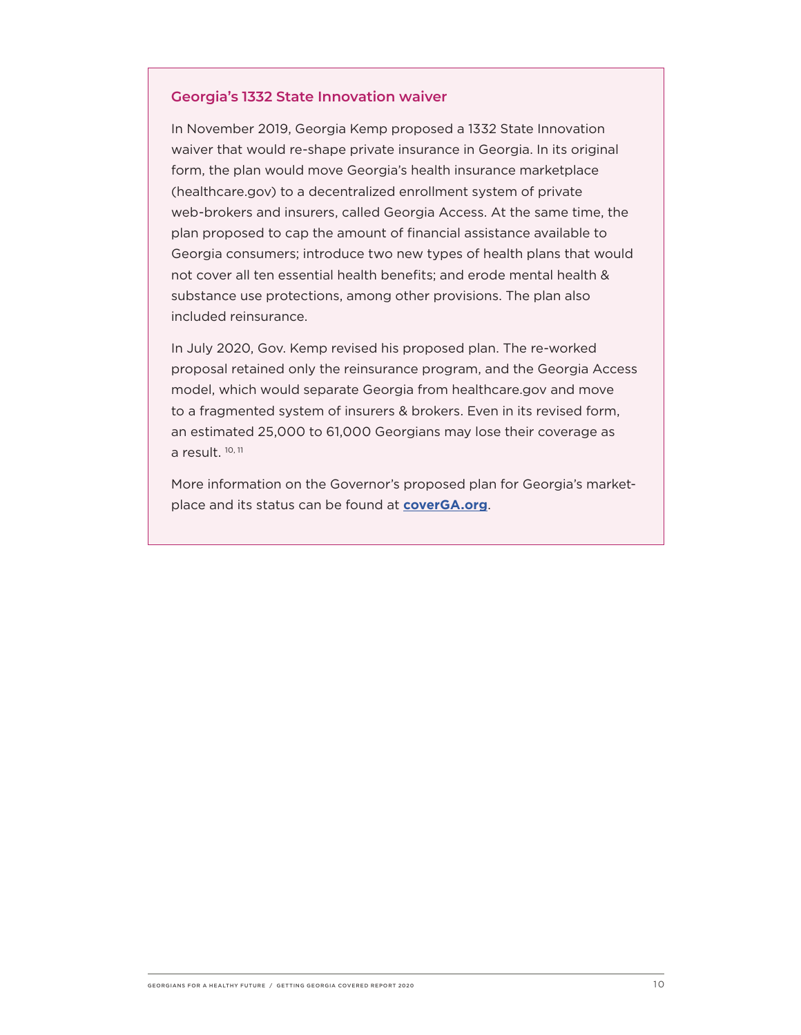#### **Georgia's 1332 State Innovation waiver**

In November 2019, Georgia Kemp proposed a 1332 State Innovation waiver that would re-shape private insurance in Georgia. In its original form, the plan would move Georgia's health insurance marketplace (healthcare.gov) to a decentralized enrollment system of private web-brokers and insurers, called Georgia Access. At the same time, the plan proposed to cap the amount of financial assistance available to Georgia consumers; introduce two new types of health plans that would not cover all ten essential health benefits; and erode mental health & substance use protections, among other provisions. The plan also included reinsurance.

In July 2020, Gov. Kemp revised his proposed plan. The re-worked proposal retained only the reinsurance program, and the Georgia Access model, which would separate Georgia from healthcare.gov and move to a fragmented system of insurers & brokers. Even in its revised form, an estimated 25,000 to 61,000 Georgians may lose their coverage as a result.<sup>10, 11</sup>

More information on the Governor's proposed plan for Georgia's marketplace and its status can be found at **[coverGA.org](http://coverGA.org)**.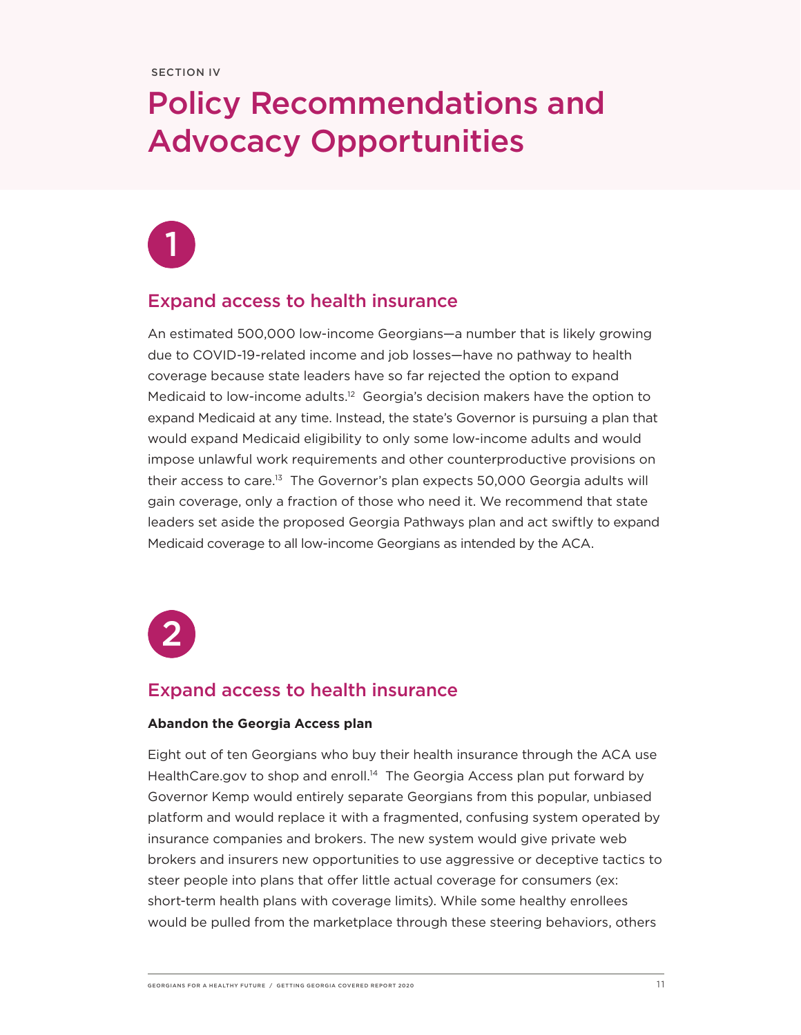# Policy Recommendations and Advocacy Opportunities

## Expand access to health insurance

An estimated 500,000 low-income Georgians—a number that is likely growing due to COVID-19-related income and job losses—have no pathway to health coverage because state leaders have so far rejected the option to expand Medicaid to low-income adults.12 Georgia's decision makers have the option to expand Medicaid at any time. Instead, the state's Governor is pursuing a plan that would expand Medicaid eligibility to only some low-income adults and would impose unlawful work requirements and other counterproductive provisions on their access to care.13 The Governor's plan expects 50,000 Georgia adults will gain coverage, only a fraction of those who need it. We recommend that state leaders set aside the proposed Georgia Pathways plan and act swiftly to expand Medicaid coverage to all low-income Georgians as intended by the ACA.



### Expand access to health insurance

#### **Abandon the Georgia Access plan**

Eight out of ten Georgians who buy their health insurance through the ACA use HealthCare.gov to shop and enroll.<sup>14</sup> The Georgia Access plan put forward by Governor Kemp would entirely separate Georgians from this popular, unbiased platform and would replace it with a fragmented, confusing system operated by insurance companies and brokers. The new system would give private web brokers and insurers new opportunities to use aggressive or deceptive tactics to steer people into plans that offer little actual coverage for consumers (ex: short-term health plans with coverage limits). While some healthy enrollees would be pulled from the marketplace through these steering behaviors, others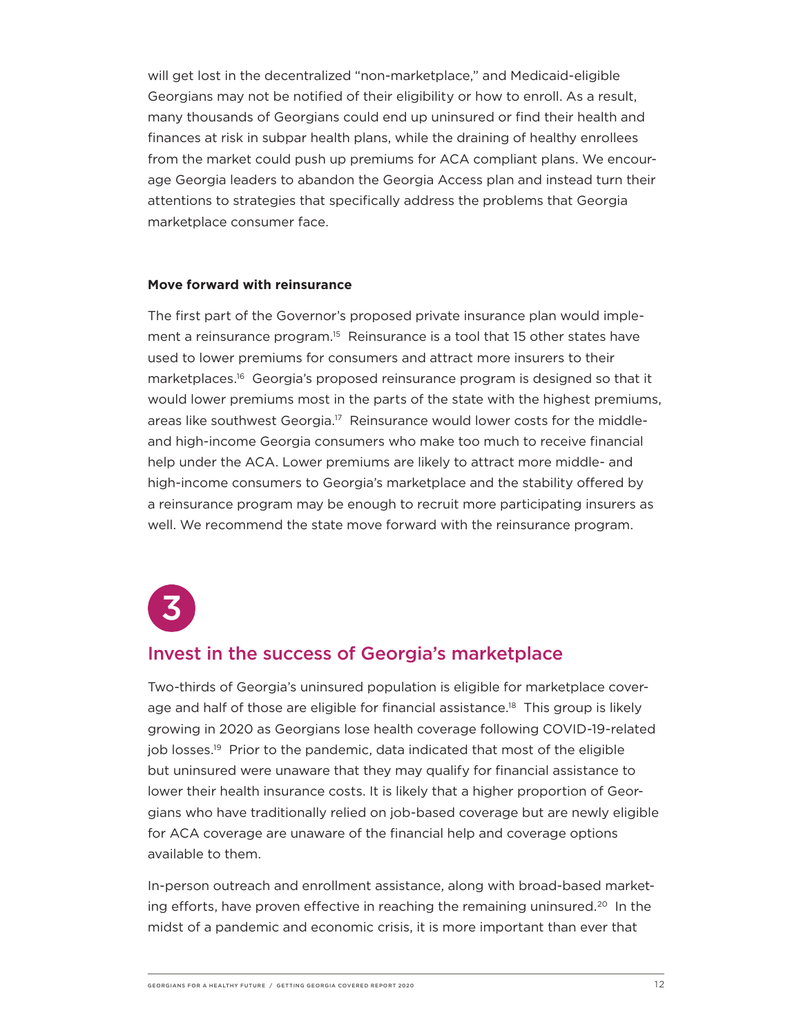will get lost in the decentralized "non-marketplace," and Medicaid-eligible Georgians may not be notified of their eligibility or how to enroll. As a result, many thousands of Georgians could end up uninsured or find their health and finances at risk in subpar health plans, while the draining of healthy enrollees from the market could push up premiums for ACA compliant plans. We encourage Georgia leaders to abandon the Georgia Access plan and instead turn their attentions to strategies that specifically address the problems that Georgia marketplace consumer face.

#### **Move forward with reinsurance**

The first part of the Governor's proposed private insurance plan would implement a reinsurance program.15 Reinsurance is a tool that 15 other states have used to lower premiums for consumers and attract more insurers to their marketplaces.16 Georgia's proposed reinsurance program is designed so that it would lower premiums most in the parts of the state with the highest premiums, areas like southwest Georgia.<sup>17</sup> Reinsurance would lower costs for the middleand high-income Georgia consumers who make too much to receive financial help under the ACA. Lower premiums are likely to attract more middle- and high-income consumers to Georgia's marketplace and the stability offered by a reinsurance program may be enough to recruit more participating insurers as well. We recommend the state move forward with the reinsurance program.



### Invest in the success of Georgia's marketplace

Two-thirds of Georgia's uninsured population is eligible for marketplace coverage and half of those are eligible for financial assistance.<sup>18</sup> This group is likely growing in 2020 as Georgians lose health coverage following COVID-19-related job losses.<sup>19</sup> Prior to the pandemic, data indicated that most of the eligible but uninsured were unaware that they may qualify for financial assistance to lower their health insurance costs. It is likely that a higher proportion of Georgians who have traditionally relied on job-based coverage but are newly eligible for ACA coverage are unaware of the financial help and coverage options available to them.

In-person outreach and enrollment assistance, along with broad-based marketing efforts, have proven effective in reaching the remaining uninsured.20 In the midst of a pandemic and economic crisis, it is more important than ever that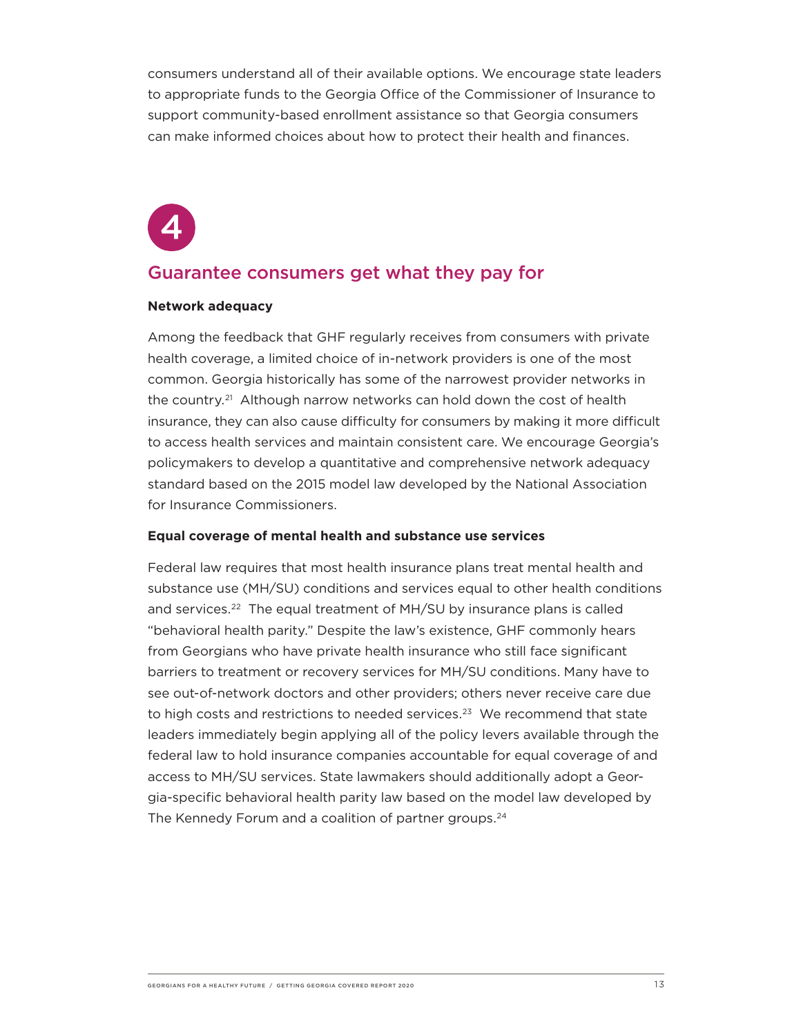consumers understand all of their available options. We encourage state leaders to appropriate funds to the Georgia Office of the Commissioner of Insurance to support community-based enrollment assistance so that Georgia consumers can make informed choices about how to protect their health and finances.

### Guarantee consumers get what they pay for

#### **Network adequacy**

Among the feedback that GHF regularly receives from consumers with private health coverage, a limited choice of in-network providers is one of the most common. Georgia historically has some of the narrowest provider networks in the country.21 Although narrow networks can hold down the cost of health insurance, they can also cause difficulty for consumers by making it more difficult to access health services and maintain consistent care. We encourage Georgia's policymakers to develop a quantitative and comprehensive network adequacy standard based on the 2015 model law developed by the National Association for Insurance Commissioners.

#### **Equal coverage of mental health and substance use services**

Federal law requires that most health insurance plans treat mental health and substance use (MH/SU) conditions and services equal to other health conditions and services.<sup>22</sup> The equal treatment of MH/SU by insurance plans is called "behavioral health parity." Despite the law's existence, GHF commonly hears from Georgians who have private health insurance who still face significant barriers to treatment or recovery services for MH/SU conditions. Many have to see out-of-network doctors and other providers; others never receive care due to high costs and restrictions to needed services.<sup>23</sup> We recommend that state leaders immediately begin applying all of the policy levers available through the federal law to hold insurance companies accountable for equal coverage of and access to MH/SU services. State lawmakers should additionally adopt a Georgia-specific behavioral health parity law based on the model law developed by The Kennedy Forum and a coalition of partner groups.<sup>24</sup>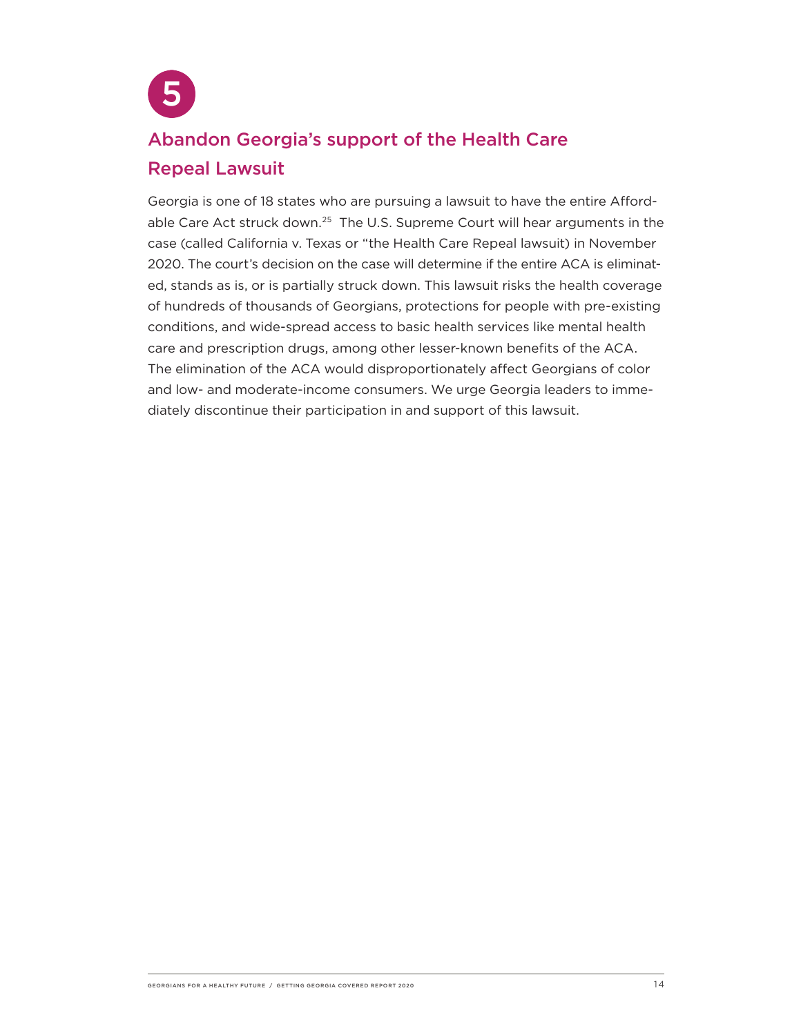

# Abandon Georgia's support of the Health Care Repeal Lawsuit

Georgia is one of 18 states who are pursuing a lawsuit to have the entire Affordable Care Act struck down.<sup>25</sup> The U.S. Supreme Court will hear arguments in the case (called California v. Texas or "the Health Care Repeal lawsuit) in November 2020. The court's decision on the case will determine if the entire ACA is eliminated, stands as is, or is partially struck down. This lawsuit risks the health coverage of hundreds of thousands of Georgians, protections for people with pre-existing conditions, and wide-spread access to basic health services like mental health care and prescription drugs, among other lesser-known benefits of the ACA. The elimination of the ACA would disproportionately affect Georgians of color and low- and moderate-income consumers. We urge Georgia leaders to immediately discontinue their participation in and support of this lawsuit.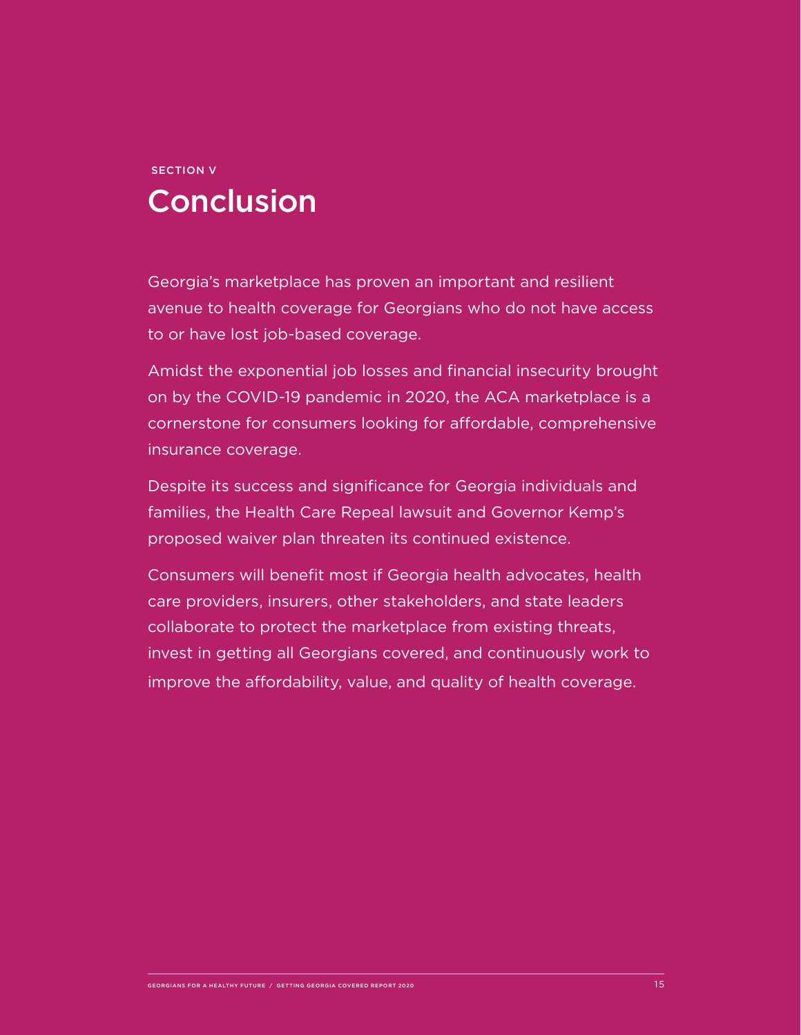# SECTION V Conclusion

Georgia's marketplace has proven an important and resilient avenue to health coverage for Georgians who do not have access to or have lost job-based coverage.

Amidst the exponential job losses and financial insecurity brought on by the COVID-19 pandemic in 2020, the ACA marketplace is a cornerstone for consumers looking for affordable, comprehensive insurance coverage.

Despite its success and significance for Georgia individuals and families, the Health Care Repeal lawsuit and Governor Kemp's proposed waiver plan threaten its continued existence.

Consumers will benefit most if Georgia health advocates, health care providers, insurers, other stakeholders, and state leaders collaborate to protect the marketplace from existing threats, invest in getting all Georgians covered, and continuously work to improve the affordability, value, and quality of health coverage.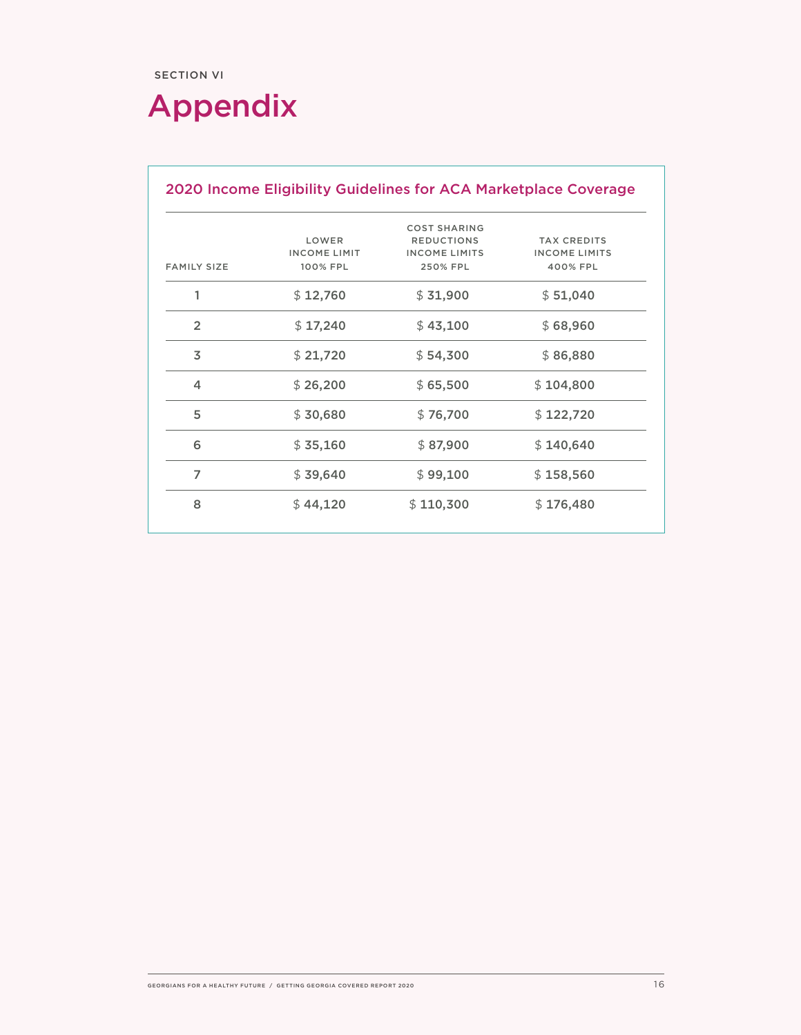# Appendix

|                    | <b>COST SHARING</b><br><b>REDUCTIONS</b><br><b>TAX CREDITS</b><br>LOWER |                                  |                                  |
|--------------------|-------------------------------------------------------------------------|----------------------------------|----------------------------------|
| <b>FAMILY SIZE</b> | <b>INCOME LIMIT</b><br>100% FPL                                         | <b>INCOME LIMITS</b><br>250% FPL | <b>INCOME LIMITS</b><br>400% FPL |
| 1                  | \$12,760                                                                | \$31,900                         | \$51,040                         |
| $\overline{2}$     | \$17,240                                                                | \$43,100                         | \$68,960                         |
| 3                  | \$21,720                                                                | \$54,300                         | \$86,880                         |
| 4                  | \$26,200                                                                | \$65,500                         | \$104,800                        |
| 5                  | \$30,680                                                                | \$76,700                         | \$122,720                        |
| 6                  | \$35,160                                                                | \$87,900                         | \$140,640                        |
| 7                  | \$39,640                                                                | \$99,100                         | \$158,560                        |
| 8                  | \$44,120                                                                | \$110,300                        | \$176,480                        |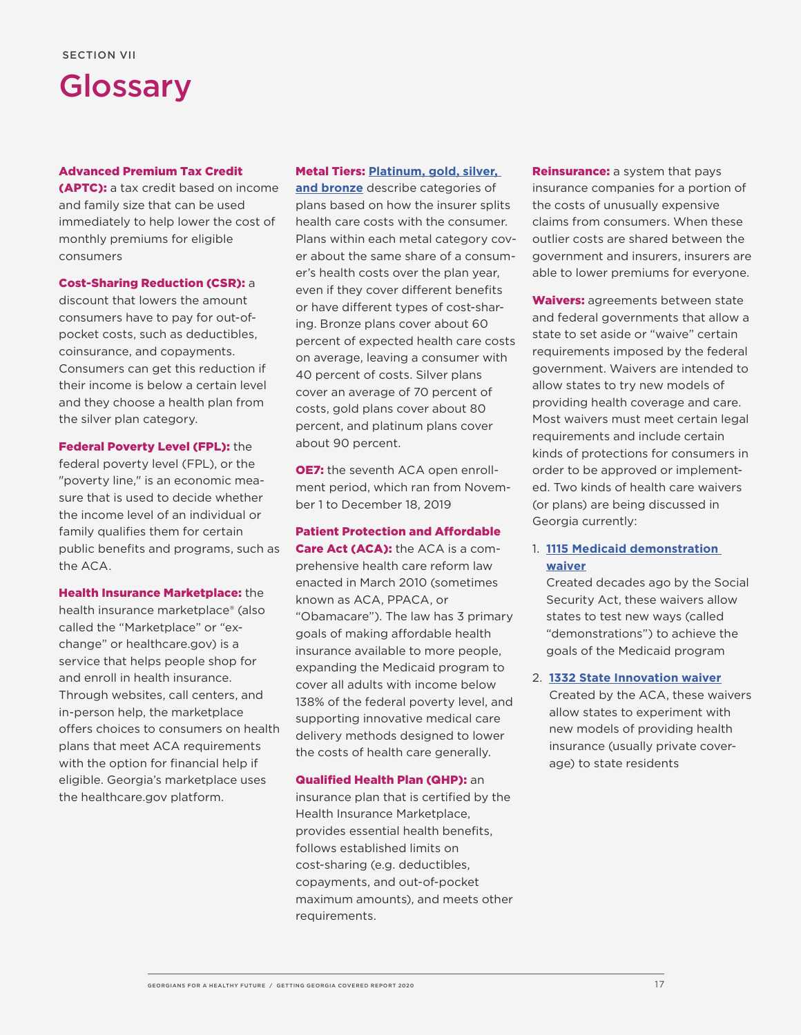

#### Advanced Premium Tax Credit

(APTC): a tax credit based on income and family size that can be used immediately to help lower the cost of monthly premiums for eligible consumers

#### Cost-Sharing Reduction (CSR): a

discount that lowers the amount consumers have to pay for out-ofpocket costs, such as deductibles, coinsurance, and copayments. Consumers can get this reduction if their income is below a certain level and they choose a health plan from the silver plan category.

Federal Poverty Level (FPL): the federal poverty level (FPL), or the "poverty line," is an economic measure that is used to decide whether the income level of an individual or family qualifies them for certain public benefits and programs, such as the ACA.

Health Insurance Marketplace: the

health insurance marketplace® (also called the "Marketplace" or "exchange" or healthcare.gov) is a service that helps people shop for and enroll in health insurance. Through websites, call centers, and in-person help, the marketplace offers choices to consumers on health plans that meet ACA requirements with the option for financial help if eligible. Georgia's marketplace uses the healthcare.gov platform.

#### Metal Tiers: **[Platinum, gold, silver,](mailto:https://www.healthcare.gov/choose-a-plan/plans-categories/)**

**[and bronze](mailto:https://www.healthcare.gov/choose-a-plan/plans-categories/)** describe categories of plans based on how the insurer splits health care costs with the consumer. Plans within each metal category cover about the same share of a consumer's health costs over the plan year, even if they cover different benefits or have different types of cost-sharing. Bronze plans cover about 60 percent of expected health care costs on average, leaving a consumer with 40 percent of costs. Silver plans cover an average of 70 percent of costs, gold plans cover about 80 percent, and platinum plans cover about 90 percent.

**OE7:** the seventh ACA open enrollment period, which ran from November 1 to December 18, 2019

#### Patient Protection and Affordable

Care Act (ACA): the ACA is a comprehensive health care reform law enacted in March 2010 (sometimes known as ACA, PPACA, or "Obamacare"). The law has 3 primary goals of making affordable health insurance available to more people, expanding the Medicaid program to cover all adults with income below 138% of the federal poverty level, and supporting innovative medical care delivery methods designed to lower the costs of health care generally.

#### Qualified Health Plan (QHP): an

insurance plan that is certified by the Health Insurance Marketplace, provides essential health benefits, follows established limits on cost-sharing (e.g. deductibles, copayments, and out-of-pocket maximum amounts), and meets other requirements.

**Reinsurance:** a system that pays insurance companies for a portion of the costs of unusually expensive claims from consumers. When these outlier costs are shared between the government and insurers, insurers are able to lower premiums for everyone.

Waivers: agreements between state and federal governments that allow a state to set aside or "waive" certain requirements imposed by the federal government. Waivers are intended to allow states to try new models of providing health coverage and care. Most waivers must meet certain legal requirements and include certain kinds of protections for consumers in order to be approved or implemented. Two kinds of health care waivers (or plans) are being discussed in Georgia currently:

#### 1. **[1115 Medicaid demonstration](https://healthyfuturega.org/ghf_resource/what-you-need-to-know-about-waivers-and-medicaid-expansion/)  [waiver](https://healthyfuturega.org/ghf_resource/what-you-need-to-know-about-waivers-and-medicaid-expansion/)**

Created decades ago by the Social Security Act, these waivers allow states to test new ways (called "demonstrations") to achieve the goals of the Medicaid program

#### 2. **[1332 State Innovation waiver](https://healthyfuturega.org/ghf_resource/what-you-need-to-know-about-1332-waivers-georgias-health-insurance-marketplace/)**

Created by the ACA, these waivers allow states to experiment with new models of providing health insurance (usually private coverage) to state residents